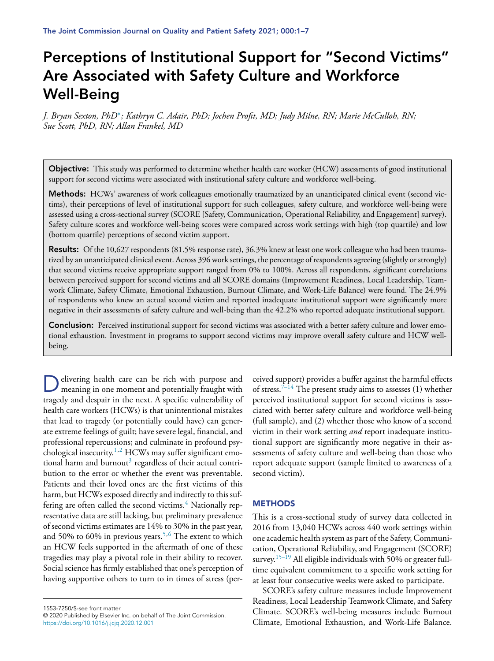# **Perceptions of Institutional Support for "Second Victims" Are Associated with Safety Culture and Workforce Well-Being**

J. Bryan Sexton, PhD<sup>\*</sup>; Kathryn C. Adair, PhD; Jochen Profit, MD; Judy Milne, RN; Marie McCulloh, RN; *Sue Scott, PhD, RN; Allan Frankel, MD*

**Objective:** This study was performed to determine whether health care worker (HCW) assessments of good institutional support for second victims were associated with institutional safety culture and workforce well-being.

**Methods:** HCWs' awareness of work colleagues emotionally traumatized by an unanticipated clinical event (second victims), their perceptions of level of institutional support for such colleagues, safety culture, and workforce well-being were assessed using a cross-sectional survey (SCORE [Safety, Communication, Operational Reliability, and Engagement] survey). Safety culture scores and workforce well-being scores were compared across work settings with high (top quartile) and low (bottom quartile) perceptions of second victim support.

**Results:** Of the 10,627 respondents (81.5% response rate), 36.3% knew at least one work colleague who had been traumatized by an unanticipated clinical event. Across 396 work settings, the percentage of respondents agreeing (slightly or strongly) that second victims receive appropriate support ranged from 0% to 100%. Across all respondents, significant correlations between perceived support for second victims and all SCORE domains (Improvement Readiness, Local Leadership, Teamwork Climate, Safety Climate, Emotional Exhaustion, Burnout Climate, and Work-Life Balance) were found. The 24.9% of respondents who knew an actual second victim and reported inadequate institutional support were significantly more negative in their assessments of safety culture and well-being than the 42.2% who reported adequate institutional support.

**Conclusion:** Perceived institutional support for second victims was associated with a better safety culture and lower emotional exhaustion. Investment in programs to support second victims may improve overall safety culture and HCW wellbeing.

Delivering health care can be rich with purpose and meaning in one moment and potentially fraught with tragedy and despair in the next. A specific vulnerability of health care workers (HCWs) is that unintentional mistakes that lead to tragedy (or potentially could have) can generate extreme feelings of guilt; have severe legal, financial, and professional repercussions; and culminate in profound psy-chological insecurity.<sup>[1,2](#page-5-0)</sup> HCWs may suffer significant emo-tional harm and burnout<sup>[3](#page-5-0)</sup> regardless of their actual contribution to the error or whether the event was preventable. Patients and their loved ones are the first victims of this harm, but HCWs exposed directly and indirectly to this suffering are often called the second victims. $4$  Nationally representative data are still lacking, but preliminary prevalence of second victimsestimates are 14% to 30% in the past year, and 50% to 60% in previous years.<sup>[5,6](#page-5-0)</sup> The extent to which an HCW feels supported in the aftermath of one of these tragedies may play a pivotal role in their ability to recover. Social science has firmly established that one's perception of having supportive others to turn to in times of stress (per-

ceived support) provides a buffer against the harmful effects of stress.<sup>[7–14](#page-5-0)</sup> The present study aims to assesses  $(1)$  whether perceived institutional support for second victims is associated with better safety culture and workforce well-being (full sample), and (2) whether those who know of a second victim in their work setting *and* report inadequate institutional support are significantly more negative in their assessments of safety culture and well-being than those who report adequate support (sample limited to awareness of a second victim).

### **METHODS**

This is a cross-sectional study of survey data collected in 2016 from 13,040 HCWs across 440 work settings within one academic health system as part of the Safety, Communication, Operational Reliability, and Engagement (SCORE) survey.<sup>[15–19](#page-5-0)</sup> All eligible individuals with 50% or greater fulltime equivalent commitment to a specific work setting for at least four consecutive weeks were asked to participate.

SCORE's safety culture measures include Improvement Readiness, Local Leadership Teamwork Climate, and Safety Climate. SCORE's well-being measures include Burnout Climate, Emotional Exhaustion, and Work-Life Balance.

<sup>1553-7250/\$-</sup>see front matter © 2020 Published by Elsevier Inc. on behalf of The Joint Commission. <https://doi.org/10.1016/j.jcjq.2020.12.001>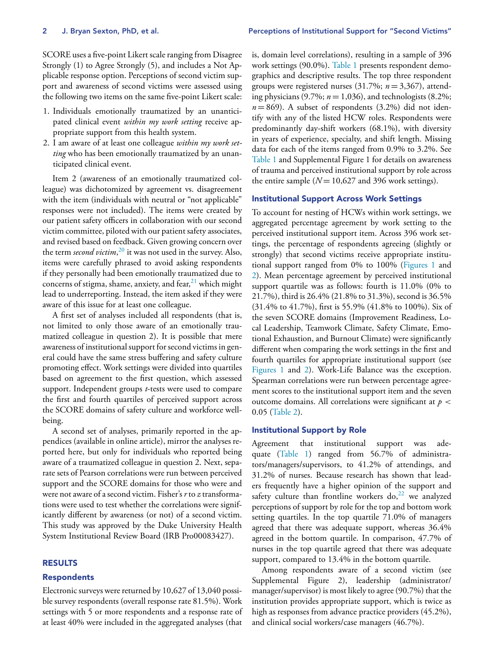SCORE uses a five-point Likert scale ranging from Disagree Strongly (1) to Agree Strongly (5), and includes a Not Applicable response option. Perceptions of second victim support and awareness of second victims were assessed using the following two items on the same five-point Likert scale:

- 1. Individuals emotionally traumatized by an unanticipated clinical event *within my work setting* receive appropriate support from this health system.
- 2. I am aware of at least one colleague *within my work setting* who has been emotionally traumatized by an unanticipated clinical event.

Item 2 (awareness of an emotionally traumatized colleague) was dichotomized by agreement vs. disagreement with the item (individuals with neutral or "not applicable" responses were not included). The items were created by our patient safety officers in collaboration with our second victim committee, piloted with our patient safety associates, and revised based on feedback. Given growing concern over the term *second victim*, [20](#page-5-0) it was not used in the survey. Also, items were carefully phrased to avoid asking respondents if they personally had been emotionally traumatized due to concerns of stigma, shame, anxiety, and fear, $21$  which might lead to underreporting. Instead, the item asked if they were aware of this issue for at least one colleague.

A first set of analyses included all respondents (that is, not limited to only those aware of an emotionally traumatized colleague in question 2). It is possible that mere awareness of institutional support for second victims in general could have the same stress buffering and safety culture promoting effect. Work settings were divided into quartiles based on agreement to the first question, which assessed support. Independent groups *t*-tests were used to compare the first and fourth quartiles of perceived support across the SCORE domains of safety culture and workforce wellbeing.

A second set of analyses, primarily reported in the appendices (available in online article), mirror the analyses reported here, but only for individuals who reported being aware of a traumatized colleague in question 2. Next, separate sets of Pearson correlations were run between perceived support and the SCORE domains for those who were and were not aware of a second victim. Fisher's *r* to *z* transformations were used to test whether the correlations were significantly different by awareness (or not) of a second victim. This study was approved by the Duke University Health System Institutional Review Board (IRB Pro00083427).

# **RESULTS**

#### **Respondents**

Electronic surveys were returned by 10,627 of 13,040 possible survey respondents (overall response rate 81.5%). Work settings with 5 or more respondents and a response rate of at least 40% were included in the aggregated analyses (that

is, domain level correlations), resulting in a sample of 396 work settings (90.0%). [Table](#page-2-0) 1 presents respondent demographics and descriptive results. The top three respondent groups were registered nurses (31.7%; *n* = 3,367), attending physicians (9.7%; *n* = 1,036), and technologists (8.2%;  $n = 869$ ). A subset of respondents  $(3.2\%)$  did not identify with any of the listed HCW roles. Respondents were predominantly day-shift workers (68.1%), with diversity in years of experience, specialty, and shift length. Missing data for each of the items ranged from 0.9% to 3.2%. See [Table](#page-2-0) 1 and Supplemental Figure 1 for details on awareness of trauma and perceived institutional support by role across the entire sample  $(N = 10,627,396)$  work settings).

# **Institutional Support Across Work Settings**

To account for nesting of HCWs within work settings, we aggregated percentage agreement by work setting to the perceived institutional support item. Across 396 work settings, the percentage of respondents agreeing (slightly or strongly) that second victims receive appropriate institutional support ranged from 0% to 100% [\(Figures](#page-3-0) 1 and [2\)](#page-3-0). Mean percentage agreement by perceived institutional support quartile was as follows: fourth is 11.0% (0% to 21.7%), third is 26.4% (21.8% to 31.3%), second is 36.5% (31.4% to 41.7%), first is 55.9% (41.8% to 100%). Six of the seven SCORE domains (Improvement Readiness, Local Leadership, Teamwork Climate, Safety Climate, Emotional Exhaustion, and Burnout Climate) were significantly different when comparing the work settings in the first and fourth quartiles for appropriate institutional support (see [Figures](#page-3-0) 1 and [2\)](#page-3-0). Work-Life Balance was the exception. Spearman correlations were run between percentage agreement scores to the institutional support item and the seven outcome domains. All correlations were significant at *p* < 0.05 [\(Table](#page-4-0) 2).

#### **Institutional Support by Role**

Agreement that institutional support was adequate [\(Table](#page-2-0) 1) ranged from 56.7% of administrators/managers/supervisors, to 41.2% of attendings, and 31.2% of nurses. Because research has shown that leaders frequently have a higher opinion of the support and safety culture than frontline workers do,  $22$  we analyzed perceptions of support by role for the top and bottom work setting quartiles. In the top quartile 71.0% of managers agreed that there was adequate support, whereas 36.4% agreed in the bottom quartile. In comparison, 47.7% of nurses in the top quartile agreed that there was adequate support, compared to 13.4% in the bottom quartile.

Among respondents aware of a second victim (see Supplemental Figure 2), leadership (administrator/ manager/supervisor) is most likely to agree(90.7%) that the institution provides appropriate support, which is twice as high as responses from advance practice providers (45.2%), and clinical social workers/case managers (46.7%).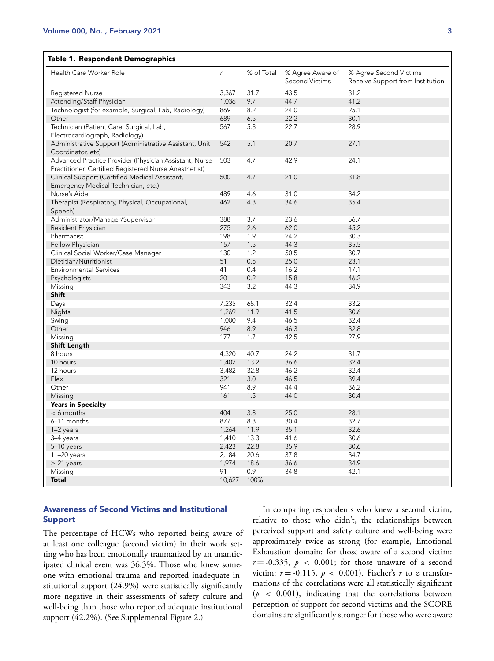# <span id="page-2-0"></span>**Table 1. Respondent Demographics**

| Health Care Worker Role                                | n              | % of Total  | % Agree Aware of<br>Second Victims | % Agree Second Victims<br>Receive Support from Institution |
|--------------------------------------------------------|----------------|-------------|------------------------------------|------------------------------------------------------------|
| <b>Registered Nurse</b>                                | 3,367          | 31.7        | 43.5                               | 31.2                                                       |
| Attending/Staff Physician                              | 1,036          | 9.7         | 44.7                               | 41.2                                                       |
| Technologist (for example, Surgical, Lab, Radiology)   | 869            | 8.2         | 24.0                               | 25.1                                                       |
| Other                                                  | 689            | 6.5         | 22.2                               | 30.1                                                       |
| Technician (Patient Care, Surgical, Lab,               | 567            | 5.3         | 22.7                               | 28.9                                                       |
| Electrocardiograph, Radiology)                         |                |             |                                    |                                                            |
| Administrative Support (Administrative Assistant, Unit | 542            | 5.1         | 20.7                               | 27.1                                                       |
| Coordinator, etc)                                      |                |             |                                    |                                                            |
| Advanced Practice Provider (Physician Assistant, Nurse | 503            | 4.7         | 42.9                               | 24.1                                                       |
| Practitioner, Certified Registered Nurse Anesthetist)  |                |             |                                    |                                                            |
| Clinical Support (Certified Medical Assistant,         | 500            | 4.7         | 21.0                               | 31.8                                                       |
| Emergency Medical Technician, etc.)                    |                |             |                                    |                                                            |
| Nurse's Aide                                           | 489            | 4.6         | 31.0                               | 34.2                                                       |
| Therapist (Respiratory, Physical, Occupational,        | 462            | 4.3         | 34.6                               | 35.4                                                       |
| Speech)                                                |                |             |                                    |                                                            |
| Administrator/Manager/Supervisor                       | 388            | 3.7         | 23.6                               | 56.7                                                       |
| Resident Physician                                     | 275            | 2.6         | 62.0                               | 45.2                                                       |
| Pharmacist                                             | 198            | 1.9         | 24.2                               | 30.3                                                       |
| Fellow Physician                                       | 157            | 1.5         | 44.3                               | 35.5                                                       |
| Clinical Social Worker/Case Manager                    | 130            | 1.2         | 50.5                               | 30.7                                                       |
| Dietitian/Nutritionist                                 | 51             | 0.5         | 25.0                               | 23.1                                                       |
| <b>Environmental Services</b>                          | 41             | 0.4         | 16.2                               | 17.1                                                       |
| Psychologists                                          | 20             | 0.2         | 15.8                               | 46.2                                                       |
| Missing                                                | 343            | 3.2         | 44.3                               | 34.9                                                       |
| Shift                                                  |                |             |                                    |                                                            |
| Days                                                   | 7,235          | 68.1        | 32.4                               | 33.2                                                       |
| Nights                                                 | 1,269          | 11.9        | 41.5                               | 30.6                                                       |
| Swing                                                  | 1,000          | 9.4         | 46.5                               | 32.4                                                       |
| Other                                                  | 946            | 8.9         | 46.3                               | 32.8                                                       |
| Missing                                                | 177            | 1.7         | 42.5                               | 27.9                                                       |
| <b>Shift Length</b>                                    |                |             |                                    |                                                            |
| 8 hours                                                | 4,320<br>1,402 | 40.7        | 24.2                               | 31.7<br>32.4                                               |
| 10 hours                                               | 3,482          | 13.2        | 36.6                               |                                                            |
| 12 hours<br>Flex                                       | 321            | 32.8<br>3.0 | 46.2<br>46.5                       | 32.4<br>39.4                                               |
| Other                                                  | 941            |             | 44.4                               | 36.2                                                       |
| Missing                                                | 161            | 8.9<br>1.5  | 44.0                               | 30.4                                                       |
| <b>Years in Specialty</b>                              |                |             |                                    |                                                            |
| $< 6$ months                                           | 404            | 3.8         | 25.0                               | 28.1                                                       |
| 6-11 months                                            | 877            | 8.3         | 30.4                               | 32.7                                                       |
| $1-2$ years                                            | 1,264          | 11.9        | 35.1                               | 32.6                                                       |
| 3-4 years                                              | 1,410          | 13.3        | 41.6                               | 30.6                                                       |
| 5-10 years                                             | 2,423          | 22.8        | 35.9                               | 30.6                                                       |
| 11-20 years                                            | 2,184          | 20.6        | 37.8                               | 34.7                                                       |
| $\geq$ 21 years                                        | 1,974          | 18.6        | 36.6                               | 34.9                                                       |
| Missing                                                | 91             | 0.9         | 34.8                               | 42.1                                                       |
| <b>Total</b>                                           | 10,627         | 100%        |                                    |                                                            |
|                                                        |                |             |                                    |                                                            |

# **Awareness of Second Victims and Institutional Support**

The percentage of HCWs who reported being aware of at least one colleague (second victim) in their work setting who has been emotionally traumatized by an unanticipated clinical event was 36.3%. Those who knew someone with emotional trauma and reported inadequate institutional support (24.9%) were statistically significantly more negative in their assessments of safety culture and well-being than those who reported adequate institutional support (42.2%). (See Supplemental Figure 2.)

In comparing respondents who knew a second victim, relative to those who didn't, the relationships between perceived support and safety culture and well-being were approximately twice as strong (for example, Emotional Exhaustion domain: for those aware of a second victim:  $r = -0.335$ ,  $p < 0.001$ ; for those unaware of a second victim:  $r = -0.115$ ,  $p < 0.001$ ). Fischer's  $r$  to  $z$  transformations of the correlations were all statistically significant  $(p < 0.001)$ , indicating that the correlations between perception of support for second victims and the SCORE domains are significantly stronger for those who were aware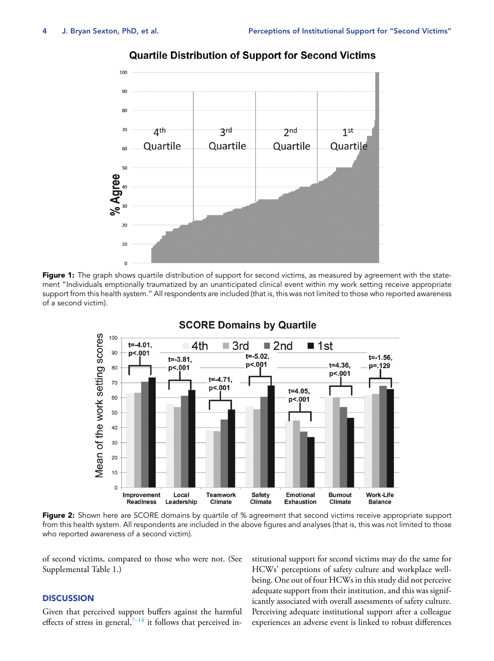<span id="page-3-0"></span>

# **Quartile Distribution of Support for Second Victims**





# **SCORE Domains by Quartile**

**Figure 2:** Shown here are SCORE domains by quartile of % agreement that second victims receive appropriate support from this health system. All respondents are included in the above figures and analyses (that is, this was not limited to those who reported awareness of a second victim).

of second victims, compared to those who were not. (See Supplemental Table 1.)

# **DISCUSSION**

Given that perceived support buffers against the harmful effects of stress in general, $7-14$  it follows that perceived institutional support for second victims may do the same for HCWs' perceptions of safety culture and workplace wellbeing. One out of four HCWs in this study did not perceive adequate support from their institution, and this was significantly associated with overall assessments of safety culture. Perceiving adequate institutional support after a colleague experiences an adverse event is linked to robust differences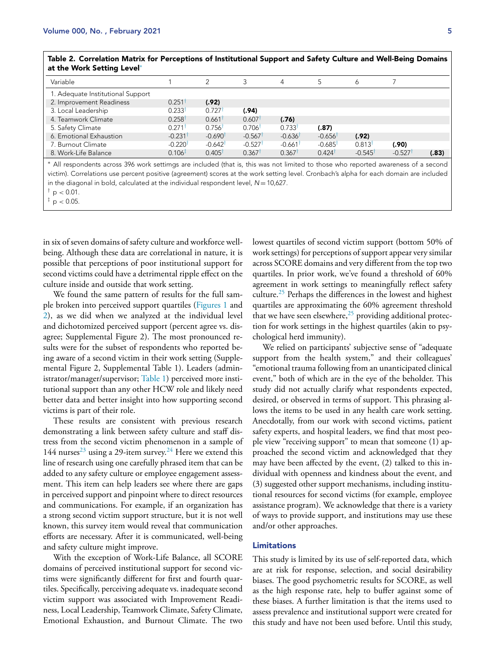| Table 2. Correlation Matrix for Perceptions of Institutional Support and Safety Culture and Well-Being Domains<br>at the Work Setting Level* |                      |        |       |          |  |  |
|----------------------------------------------------------------------------------------------------------------------------------------------|----------------------|--------|-------|----------|--|--|
| Variable                                                                                                                                     |                      |        |       | $\Delta$ |  |  |
| 1. Adequate Institutional Support                                                                                                            |                      |        |       |          |  |  |
| 2. Improvement Readiness                                                                                                                     | $0.251$ <sup>t</sup> | (.92)  |       |          |  |  |
| 3. Local Leadership                                                                                                                          | 0.233                | 0 727† | (.94) |          |  |  |

<span id="page-4-0"></span>**Table 2. Correlation Matrix for Perceptions of Institutional Support and Safety Culture and Well-Being Domains**

7. Burnout Climate -0.220† -0.642† -0.527† -0.661† -0.685† 0.813† **(.90)** 8. Work-Life Balance 0.106‡ 0.405† 0.367† 0.367† 0.424† -0.545† -0.527† **(.83)** ∗ All respondents across 396 work settimgs are included (that is, this was not limited to those who reported awareness of a second victim). Correlations use percent positive (agreement) scores at the work setting level. Cronbach's alpha for each domain are included in the diagonal in bold, calculated at the individual respondent level,  $N = 10,627$ .

 $^{\dagger}$  p  $< 0.01$ .

 ${}^{\ddagger}$  p < 0.05.

in six of seven domains of safety culture and workforce wellbeing. Although these data are correlational in nature, it is possible that perceptions of poor institutional support for second victims could have a detrimental ripple effect on the culture inside and outside that work setting.

4. Teamwork Climate 0.258† 0.661† 0.607† **(.76)**

5. Safety Climate 0.271† 0.756† 0.706† 0.733† **(.87)**

6. Emotional Exhaustion -0.231† -0.690† -0.567† -0.636† -0.656† **(.92)**

We found the same pattern of results for the full sample broken into perceived support quartiles [\(Figures](#page-3-0) 1 and [2\)](#page-3-0), as we did when we analyzed at the individual level and dichotomized perceived support (percent agree vs. disagree; Supplemental Figure 2). The most pronounced results were for the subset of respondents who reported being aware of a second victim in their work setting (Supplemental Figure 2, Supplemental Table 1). Leaders (administrator/manager/supervisor; [Table](#page-2-0) 1) perceived more institutional support than any other HCW role and likely need better data and better insight into how supporting second victims is part of their role.

These results are consistent with previous research demonstrating a link between safety culture and staff distress from the second victim phenomenon in a sample of 144 nurses<sup>[23](#page-6-0)</sup> using a 29-item survey.<sup>[24](#page-6-0)</sup> Here we extend this line of research using one carefully phrased item that can be added to any safety culture or employee engagement assessment. This item can help leaders see where there are gaps in perceived support and pinpoint where to direct resources and communications. For example, if an organization has a strong second victim support structure, but it is not well known, this survey item would reveal that communication efforts are necessary. After it is communicated, well-being and safety culture might improve.

With the exception of Work-Life Balance, all SCORE domains of perceived institutional support for second victims were significantly different for first and fourth quartiles. Specifically, perceiving adequate vs. inadequate second victim support was associated with Improvement Readiness, Local Leadership, Teamwork Climate, Safety Climate, Emotional Exhaustion, and Burnout Climate. The two lowest quartiles of second victim support (bottom 50% of work settings) for perceptions of support appear very similar across SCORE domains and very different from the top two quartiles. In prior work, we've found a threshold of 60% agreement in work settings to meaningfully reflect safety culture.[25](#page-6-0) Perhaps the differences in the lowest and highest quartiles are approximating the 60% agreement threshold that we have seen elsewhere, $^{25}$  $^{25}$  $^{25}$  providing additional protection for work settings in the highest quartiles (akin to psychological herd immunity).

We relied on participants' subjective sense of "adequate support from the health system," and their colleagues' "emotional trauma following from an unanticipated clinical event," both of which are in the eye of the beholder. This study did not actually clarify what respondents expected, desired, or observed in terms of support. This phrasing allows the items to be used in any health care work setting. Anecdotally, from our work with second victims, patient safety experts, and hospital leaders, we find that most people view "receiving support" to mean that someone (1) approached the second victim and acknowledged that they may have been affected by the event, (2) talked to this individual with openness and kindness about the event, and (3) suggested other support mechanisms, including institutional resources for second victims (for example, employee assistance program). We acknowledge that there is a variety of ways to provide support, and institutions may use these and/or other approaches.

#### **Limitations**

This study is limited by its use of self-reported data, which are at risk for response, selection, and social desirability biases. The good psychometric results for SCORE, as well as the high response rate, help to buffer against some of these biases. A further limitation is that the items used to assess prevalence and institutional support were created for this study and have not been used before. Until this study,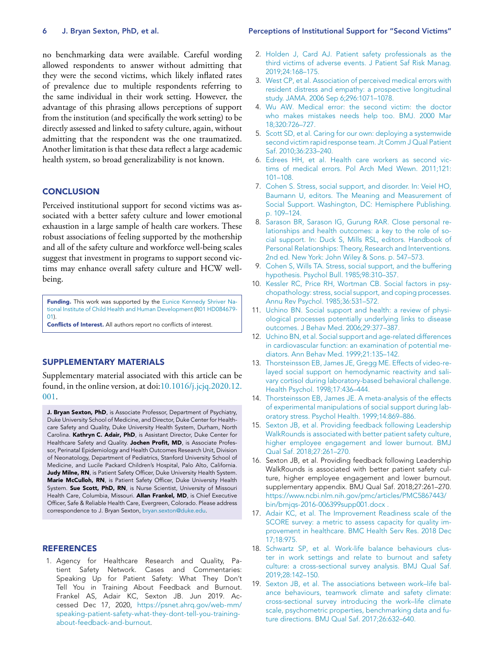no benchmarking data were available. Careful wording allowed respondents to answer without admitting that they were the second victims, which likely inflated rates of prevalence due to multiple respondents referring to the same individual in their work setting. However, the advantage of this phrasing allows perceptions of support from the institution (and specifically the work setting) to be directly assessed and linked to safety culture, again, without admitting that the respondent was the one traumatized. Another limitation is that these data reflect a large academic health system, so broad generalizability is not known.

# **CONCLUSION**

Perceived institutional support for second victims was associated with a better safety culture and lower emotional exhaustion in a large sample of health care workers. These robust associations of feeling supported by the mothership and all of the safety culture and workforce well-being scales suggest that investment in programs to support second victims may enhance overall safety culture and HCW wellbeing.

**Funding.** This work was supported by the Eunice Kennedy Shriver National Institute of Child Health and Human [Development](https://doi.org/10.13039/100009633) (R01 HD084679- 01).

**Conflicts of Interest.** All authors report no conflicts of interest.

# **SUPPLEMENTARY MATERIALS**

Supplementary material associated with this article can be found, in the online version, at [doi:10.1016/j.jcjq.2020.12.](https://doi.org/10.1016/j.jcjq.2020.12.001) 001.

**J. Bryan Sexton, PhD**, is Associate Professor, Department of Psychiatry, Duke University School of Medicine, and Director, Duke Center for Healthcare Safety and Quality, Duke University Health System, Durham, North Carolina. **Kathryn C. Adair, PhD**, is Assistant Director, Duke Center for Healthcare Safety and Quality. **Jochen Profit, MD**, is Associate Professor, Perinatal Epidemiology and Health Outcomes Research Unit, Division of Neonatology, Department of Pediatrics, Stanford University School of Medicine, and Lucile Packard Children's Hospital, Palo Alto, California. **Judy Milne, RN**, is Patient Safety Officer, Duke University Health System. **Marie McCulloh, RN**, is Patient Safety Officer, Duke University Health System. **Sue Scott, PhD, RN**, is Nurse Scientist, University of Missouri Health Care, Columbia, Missouri. **Allan Frankel, MD**, is Chief Executive Officer, Safe & Reliable Health Care, Evergreen, Colorado. Please address correspondence to J. Bryan Sexton, [bryan.sexton@duke.edu.](mailto:bryan.sexton@duke.edu)

#### **REFERENCES**

1. Agency for Healthcare Research and Quality, Patient Safety Network. Cases and Commentaries: Speaking Up for Patient Safety: What They Don't Tell You in Training About Feedback and Burnout. Frankel AS, Adair KC, Sexton JB. Jun 2019. Accessed Dec 17, 2020, https://psnet.ahrq.gov/web-mm/ [speaking-patient-safety-what-they-dont-tell-you-training](https://psnet.ahrq.gov/web-mm/speaking-patient-safety-what-they-dont-tell-you-training-about-feedback-and-burnout)about-feedback-and-burnout.

#### <span id="page-5-0"></span>**6 J. Bryan Sexton, PhD, et al. Perceptions of Institutional Support for "Second Victims"**

- 2. [Holden](http://refhub.elsevier.com/S1553-7250(20)30334-2/sbref0002) J, [Card](http://refhub.elsevier.com/S1553-7250(20)30334-2/sbref0002) AJ. Patient safety professionals as the third victims of adverse events. J Patient Saf Risk Manag. [2019;24:168–175.](http://refhub.elsevier.com/S1553-7250(20)30334-2/sbref0002)
- 3. [West](http://refhub.elsevier.com/S1553-7250(20)30334-2/sbref0003) CP, et [al.](http://refhub.elsevier.com/S1553-7250(20)30334-2/sbref0003) Association of perceived medical errors with resident distress and empathy: a prospective longitudinal study. JAMA. 2006 Sep [6;296:1071–1078.](http://refhub.elsevier.com/S1553-7250(20)30334-2/sbref0003)
- 4. Wu [AW.](http://refhub.elsevier.com/S1553-7250(20)30334-2/sbref0004) Medical error: the second victim: the doctor who makes mistakes needs help too. BMJ. 2000 Mar [18;320:726–727.](http://refhub.elsevier.com/S1553-7250(20)30334-2/sbref0004)
- 5. [Scott](http://refhub.elsevier.com/S1553-7250(20)30334-2/sbref0005) SD, et [al.](http://refhub.elsevier.com/S1553-7250(20)30334-2/sbref0005) Caring for our own: deploying a systemwide second victim rapid response team. Jt Comm J Qual Patient Saf. [2010;36:233–240.](http://refhub.elsevier.com/S1553-7250(20)30334-2/sbref0005)
- 6. [Edrees](http://refhub.elsevier.com/S1553-7250(20)30334-2/sbref0006) HH, et [al.](http://refhub.elsevier.com/S1553-7250(20)30334-2/sbref0006) Health care workers as second victims of medical errors. Pol Arch Med Wewn. [2011;121:](http://refhub.elsevier.com/S1553-7250(20)30334-2/sbref0006) 101–108.
- 7. [Cohen](http://refhub.elsevier.com/S1553-7250(20)30334-2/sbref0007) S. Stress, social support, and disorder. In: Veiel HO, Baumann U, editors. The Meaning and [Measurement](http://refhub.elsevier.com/S1553-7250(20)30334-2/sbref0007) of Social Support. Washington, DC: Hemisphere Publishing. p. 109–124.
- 8. [Sarason](http://refhub.elsevier.com/S1553-7250(20)30334-2/sbref0008) BR, [Sarason](http://refhub.elsevier.com/S1553-7250(20)30334-2/sbref0008) IG, [Gurung](http://refhub.elsevier.com/S1553-7250(20)30334-2/sbref0008) RAR. Close personal relationships and health outcomes: a key to the role of social support. In: Duck S, Mills RSL, editors. Handbook of Personal [Relationships:](http://refhub.elsevier.com/S1553-7250(20)30334-2/sbref0008) Theory, Research and Interventions. 2nd ed. New York: John Wiley & Sons. p. 547–573.
- 9. [Cohen](http://refhub.elsevier.com/S1553-7250(20)30334-2/sbref0009) S, [Wills](http://refhub.elsevier.com/S1553-7250(20)30334-2/sbref0009) TA. Stress, social support, and the buffering hypothesis. Psychol Bull. [1985;98:310–357.](http://refhub.elsevier.com/S1553-7250(20)30334-2/sbref0009)
- 10. [Kessler](http://refhub.elsevier.com/S1553-7250(20)30334-2/sbref0010) RC, [Price](http://refhub.elsevier.com/S1553-7250(20)30334-2/sbref0010) RH, [Wortman](http://refhub.elsevier.com/S1553-7250(20)30334-2/sbref0010) CB. Social factors in psychopathology: stress, social support, and coping processes. Annu Rev Psychol. [1985;36:531–572.](http://refhub.elsevier.com/S1553-7250(20)30334-2/sbref0010)
- 11. [Uchino](http://refhub.elsevier.com/S1553-7250(20)30334-2/sbref0011) BN. Social support and health: a review of physiological processes potentially underlying links to disease outcomes. J Behav Med. [2006;29:377–387.](http://refhub.elsevier.com/S1553-7250(20)30334-2/sbref0011)
- 12. [Uchino](http://refhub.elsevier.com/S1553-7250(20)30334-2/sbref0012) BN, et [al.](http://refhub.elsevier.com/S1553-7250(20)30334-2/sbref0012) Social support and age-related differences in cardiovascular function: an examination of potential mediators. Ann Behav Med. [1999;21:135–142.](http://refhub.elsevier.com/S1553-7250(20)30334-2/sbref0012)
- 13. [Thorsteinsson](http://refhub.elsevier.com/S1553-7250(20)30334-2/sbref0013) EB, [James](http://refhub.elsevier.com/S1553-7250(20)30334-2/sbref0013) JE, [Gregg](http://refhub.elsevier.com/S1553-7250(20)30334-2/sbref0013) ME. Effects of video-relayed social support on hemodynamic reactivity and salivary cortisol during [laboratory-based](http://refhub.elsevier.com/S1553-7250(20)30334-2/sbref0013) behavioral challenge. Health Psychol. 1998;17:436–444.
- 14. [Thorsteinsson](http://refhub.elsevier.com/S1553-7250(20)30334-2/sbref0014) EB, [James](http://refhub.elsevier.com/S1553-7250(20)30334-2/sbref0014) JE. A meta-analysis of the effects of experimental manipulations of social support during laboratory stress. Psychol Health. [1999;14:869–886.](http://refhub.elsevier.com/S1553-7250(20)30334-2/sbref0014)
- 15. [Sexton](http://refhub.elsevier.com/S1553-7250(20)30334-2/sbref0015) JB, et [al.](http://refhub.elsevier.com/S1553-7250(20)30334-2/sbref0015) Providing feedback following Leadership WalkRounds is associated with better patient safety culture, higher employee engagement and lower burnout. BMJ Qual Saf. [2018;27:261–270.](http://refhub.elsevier.com/S1553-7250(20)30334-2/sbref0015)
- 16. Sexton JB, et al. Providing feedback following Leadership WalkRounds is associated with better patient safety culture, higher employee engagement and lower burnout. supplementary appendix. BMJ Qual Saf. 2018;27:261–270. [https://www.ncbi.nlm.nih.gov/pmc/articles/PMC5867443/](https://www.ncbi.nlm.nih.gov/pmc/articles/PMC5867443/bin/bmjqs-2016-006399supp001.docx) bin/bmjqs-2016-006399supp001.docx .
- 17. [Adair](http://refhub.elsevier.com/S1553-7250(20)30334-2/sbref0017) KC, et [al.](http://refhub.elsevier.com/S1553-7250(20)30334-2/sbref0017) The [Improvement](http://refhub.elsevier.com/S1553-7250(20)30334-2/sbref0017) Readiness scale of the SCORE survey: a metric to assess capacity for quality improvement in healthcare. BMC Health Serv Res. 2018 Dec 17;18:975.
- 18. [Schwartz](http://refhub.elsevier.com/S1553-7250(20)30334-2/sbref0018) SP, et [al.](http://refhub.elsevier.com/S1553-7250(20)30334-2/sbref0018) Work-life balance behaviours cluster in work settings and relate to burnout and safety culture: a cross-sectional survey analysis. BMJ Qual Saf. [2019;28:142–150.](http://refhub.elsevier.com/S1553-7250(20)30334-2/sbref0018)
- 19. [Sexton](http://refhub.elsevier.com/S1553-7250(20)30334-2/sbref0019) JB, et [al.](http://refhub.elsevier.com/S1553-7250(20)30334-2/sbref0019) The associations between work–life balance behaviours, teamwork climate and safety climate: cross-sectional survey introducing the work–life climate scale, psychometric properties, benchmarking data and future directions. BMJ Qual Saf. [2017;26:632–640.](http://refhub.elsevier.com/S1553-7250(20)30334-2/sbref0019)